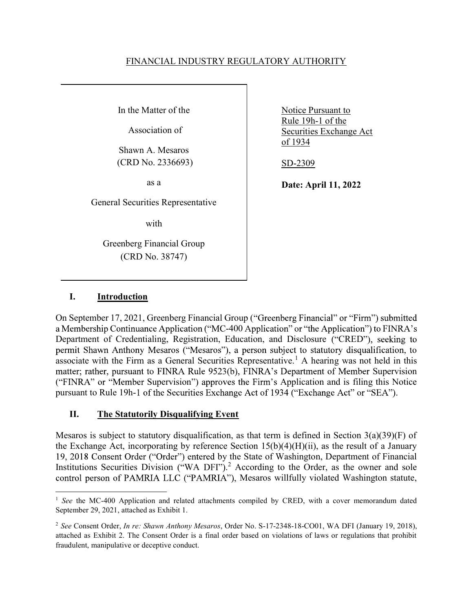### FINANCIAL INDUSTRY REGULATORY AUTHORITY

In the Matter of the

Association of

Shawn A. Mesaros (CRD No. 2336693)

as a

General Securities Representative

with

Greenberg Financial Group (CRD No. 38747)

Notice Pursuant to Rule 19h-1 of the Securities Exchange Act of 1934

SD-2309

Date: April 11, 2022

# I. Introduction

On September 17, 2021, Greenberg Financial Group ("Greenberg Financial" or "Firm") submitted a Membership Continuance Application ("MC-400 Application" or "the Application") to FINRA's Department of Credentialing, Registration, Education, and Disclosure ("CRED"), seeking to permit Shawn Anthony Mesaros ("Mesaros"), a person subject to statutory disqualification, to associate with the Firm as a General Securities Representative.<sup>1</sup> A hearing was not held in this matter; rather, pursuant to FINRA Rule 9523(b), FINRA's Department of Member Supervision ("FINRA" or "Member Supervision") approves the Firm's Application and is filing this Notice pursuant to Rule 19h-1 of the Securities Exchange Act of 1934 ("Exchange Act" or "SEA").

## II. The Statutorily Disqualifying Event

Mesaros is subject to statutory disqualification, as that term is defined in Section  $3(a)(39)(F)$  of the Exchange Act, incorporating by reference Section  $15(b)(4)(H)(ii)$ , as the result of a January 19, 2018 Consent Order ("Order") entered by the State of Washington, Department of Financial Institutions Securities Division ("WA DFI").<sup>2</sup> According to the Order, as the owner and sole control person of PAMRIA LLC ("PAMRIA"), Mesaros willfully violated Washington statute,

 $\overline{a}$ <sup>1</sup> See the MC-400 Application and related attachments compiled by CRED, with a cover memorandum dated September 29, 2021, attached as Exhibit 1.

<sup>&</sup>lt;sup>2</sup> See Consent Order, *In re: Shawn Anthony Mesaros*, Order No. S-17-2348-18-CO01, WA DFI (January 19, 2018), attached as Exhibit 2. The Consent Order is a final order based on violations of laws or regulations that prohibit fraudulent, manipulative or deceptive conduct.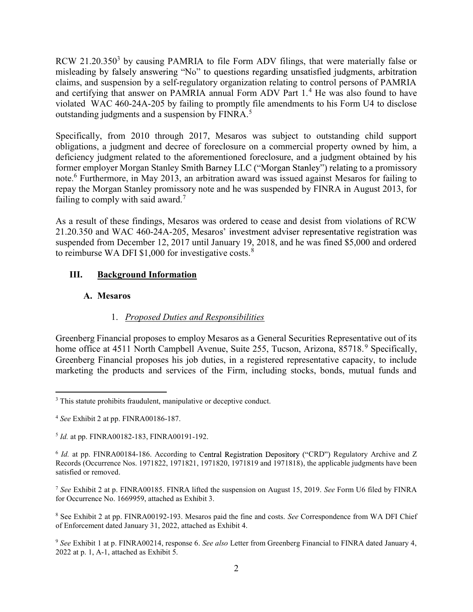RCW 21.20.350<sup>3</sup> by causing PAMRIA to file Form ADV filings, that were materially false or misleading by falsely answering "No" to questions regarding unsatisfied judgments, arbitration claims, and suspension by a self-regulatory organization relating to control persons of PAMRIA and certifying that answer on PAMRIA annual Form ADV Part  $1<sup>4</sup>$  He was also found to have violated WAC 460-24A-205 by failing to promptly file amendments to his Form U4 to disclose outstanding judgments and a suspension by FINRA. $5$ 

Specifically, from 2010 through 2017, Mesaros was subject to outstanding child support obligations, a judgment and decree of foreclosure on a commercial property owned by him, a deficiency judgment related to the aforementioned foreclosure, and a judgment obtained by his former employer Morgan Stanley Smith Barney LLC ("Morgan Stanley") relating to a promissory note.<sup>6</sup> Furthermore, in May 2013, an arbitration award was issued against Mesaros for failing to repay the Morgan Stanley promissory note and he was suspended by FINRA in August 2013, for failing to comply with said award.<sup>7</sup>

As a result of these findings, Mesaros was ordered to cease and desist from violations of RCW 21.20.350 and WAC 460-24A-205, Mesaros' investment adviser representative registration was suspended from December 12, 2017 until January 19, 2018, and he was fined \$5,000 and ordered to reimburse WA DFI  $$1,000$  for investigative costs.<sup>8</sup>

# III. Background Information

## A. Mesaros

# 1. Proposed Duties and Responsibilities

Greenberg Financial proposes to employ Mesaros as a General Securities Representative out of its home office at 4511 North Campbell Avenue, Suite 255, Tucson, Arizona, 85718.<sup>9</sup> Specifically, Greenberg Financial proposes his job duties, in a registered representative capacity, to include marketing the products and services of the Firm, including stocks, bonds, mutual funds and

<sup>&</sup>lt;sup>3</sup> This statute prohibits fraudulent, manipulative or deceptive conduct.

<sup>4</sup> See Exhibit 2 at pp. FINRA00186-187.

<sup>&</sup>lt;sup>5</sup> *Id.* at pp. FINRA00182-183, FINRA00191-192.

 $6$  *Id.* at pp. FINRA00184-186. According to Central Registration Depository ("CRD") Regulatory Archive and Z Records (Occurrence Nos. 1971822, 1971821, 1971820, 1971819 and 1971818), the applicable judgments have been satisfied or removed.

<sup>&</sup>lt;sup>7</sup> See Exhibit 2 at p. FINRA00185. FINRA lifted the suspension on August 15, 2019. See Form U6 filed by FINRA for Occurrence No. 1669959, attached as Exhibit 3.

<sup>&</sup>lt;sup>8</sup> See Exhibit 2 at pp. FINRA00192-193. Mesaros paid the fine and costs. See Correspondence from WA DFI Chief of Enforcement dated January 31, 2022, attached as Exhibit 4.

<sup>&</sup>lt;sup>9</sup> See Exhibit 1 at p. FINRA00214, response 6. See also Letter from Greenberg Financial to FINRA dated January 4, 2022 at p. 1, A-1, attached as Exhibit 5.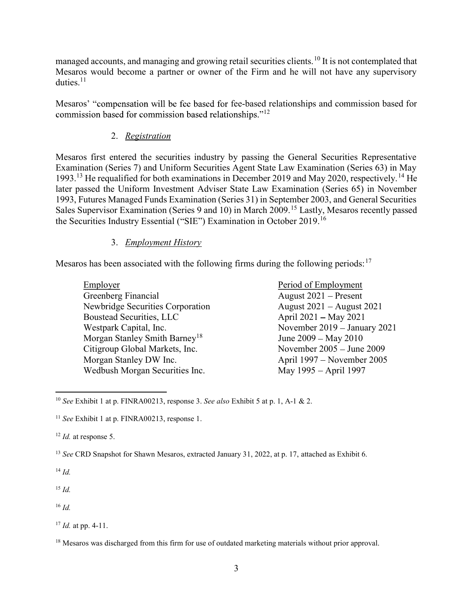managed accounts, and managing and growing retail securities clients.<sup>10</sup> It is not contemplated that Mesaros would become a partner or owner of the Firm and he will not have any supervisory duties. $11$ 

Mesaros' "compensation will be fee based for fee-based relationships and commission based for 12

# 2. Registration

Mesaros first entered the securities industry by passing the General Securities Representative Examination (Series 7) and Uniform Securities Agent State Law Examination (Series 63) in May 1993.<sup>13</sup> He requalified for both examinations in December 2019 and May 2020, respectively.<sup>14</sup> He later passed the Uniform Investment Adviser State Law Examination (Series 65) in November 1993, Futures Managed Funds Examination (Series 31) in September 2003, and General Securities Sales Supervisor Examination (Series 9 and 10) in March 2009.<sup>15</sup> Lastly, Mesaros recently passed the Securities Industry Essential ("SIE") Examination in October 2019.<sup>16</sup>

## 3. Employment History

Mesaros has been associated with the following firms during the following periods:  $17$ 

| Employer                                  |
|-------------------------------------------|
| Greenberg Financial                       |
| Newbridge Securities Corporation          |
| Boustead Securities, LLC                  |
| Westpark Capital, Inc.                    |
| Morgan Stanley Smith Barney <sup>18</sup> |
| Citigroup Global Markets, Inc.            |
| Morgan Stanley DW Inc.                    |
| Wedbush Morgan Securities Inc.            |

Period of Employment August  $2021$  – Present August  $2021 -$ August 2021 April  $2021 - May 2021$ November 2019 – January 2021 June  $2009 - May 2010$ November 2005 - June 2009 April 1997 – November 2005 May 1995 – April 1997

<sup>13</sup> See CRD Snapshot for Shawn Mesaros, extracted January 31, 2022, at p. 17, attached as Exhibit 6.

 $14 \, Id.$ 

 $\overline{a}$ 

 $15$  *Id.* 

 $16$  *Id.* 

<sup>&</sup>lt;sup>10</sup> See Exhibit 1 at p. FINRA00213, response 3. See also Exhibit 5 at p. 1, A-1 & 2.

<sup>&</sup>lt;sup>11</sup> See Exhibit 1 at p. FINRA00213, response 1.

 $12$  *Id.* at response 5.

 $17$  *Id.* at pp. 4-11.

<sup>&</sup>lt;sup>18</sup> Mesaros was discharged from this firm for use of outdated marketing materials without prior approval.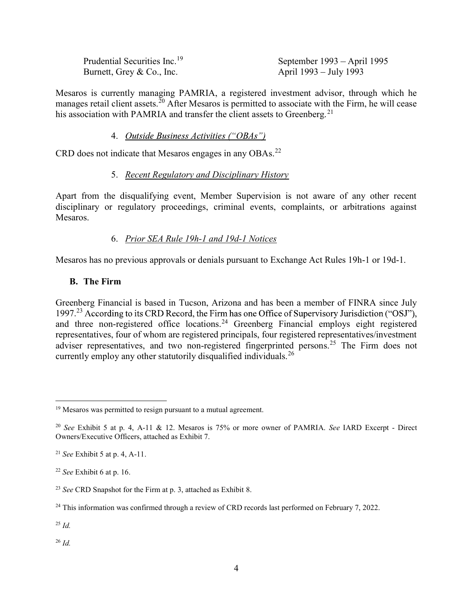| Prudential Securities Inc. <sup>19</sup> |
|------------------------------------------|
| Burnett, Grey & Co., Inc.                |

September 1993 – April 1995 t, Grey & Co., Inc. April 1993 – July 1993

Mesaros is currently managing PAMRIA, a registered investment advisor, through which he manages retail client assets.<sup>20</sup> After Mesaros is permitted to associate with the Firm, he will cease his association with PAMRIA and transfer the client assets to Greenberg.<sup>21</sup>

### 4. Outside Business Activities ("OBAs")

CRD does not indicate that Mesaros engages in any OBAs.<sup>22</sup>

## 5. Recent Regulatory and Disciplinary History

Apart from the disqualifying event, Member Supervision is not aware of any other recent disciplinary or regulatory proceedings, criminal events, complaints, or arbitrations against Mesaros.

## 6. Prior SEA Rule 19h-1 and 19d-1 Notices

Mesaros has no previous approvals or denials pursuant to Exchange Act Rules 19h-1 or 19d-1.

### B. The Firm

Greenberg Financial is based in Tucson, Arizona and has been a member of FINRA since July 1997.<sup>23</sup> According to its CRD Record, the Firm has one Office of Supervisory Jurisdiction ("OSJ"), and three non-registered office locations.<sup>24</sup> Greenberg Financial employs eight registered representatives, four of whom are registered principals, four registered representatives/investment adviser representatives, and two non-registered fingerprinted persons.<sup>25</sup> The Firm does not currently employ any other statutorily disqualified individuals.<sup>26</sup>

 $^{25}$  Id.

 $\overline{a}$ 

 $^{26}$  *Id.* 

<sup>&</sup>lt;sup>19</sup> Mesaros was permitted to resign pursuant to a mutual agreement.

<sup>20</sup> See Exhibit 5 at p. 4, A-11 & 12. Mesaros is 75% or more owner of PAMRIA. See IARD Excerpt - Direct Owners/Executive Officers, attached as Exhibit 7.

<sup>&</sup>lt;sup>21</sup> See Exhibit 5 at p. 4, A-11.

 $22$  See Exhibit 6 at p. 16.

<sup>&</sup>lt;sup>23</sup> See CRD Snapshot for the Firm at p. 3, attached as Exhibit 8.

 $24$  This information was confirmed through a review of CRD records last performed on February 7, 2022.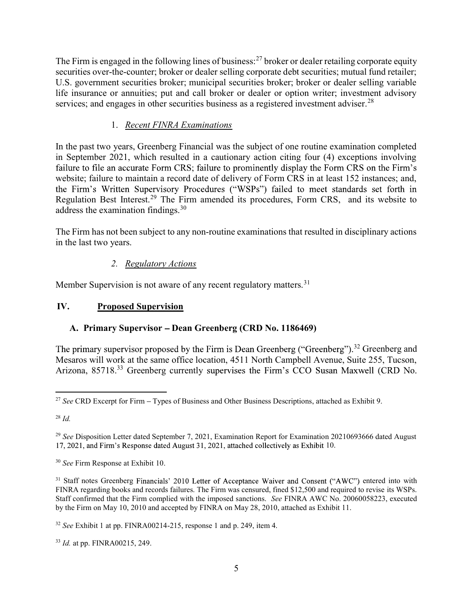The Firm is engaged in the following lines of business:<sup>27</sup> broker or dealer retailing corporate equity securities over-the-counter; broker or dealer selling corporate debt securities; mutual fund retailer; U.S. government securities broker; municipal securities broker; broker or dealer selling variable life insurance or annuities; put and call broker or dealer or option writer; investment advisory services; and engages in other securities business as a registered investment adviser.<sup>28</sup>

# 1. Recent FINRA Examinations

In the past two years, Greenberg Financial was the subject of one routine examination completed in September 2021, which resulted in a cautionary action citing four (4) exceptions involving failure to file an accurate Form CRS; failure to prominently display the Form CRS on the Firm's website; failure to maintain a record date of delivery of Form CRS in at least 152 instances; and, the Firm's Written Supervisory Procedures ("WSPs") failed to meet standards set forth in Regulation Best Interest.<sup>29</sup> The Firm amended its procedures, Form CRS, and its website to address the examination findings.<sup>30</sup>

The Firm has not been subject to any non-routine examinations that resulted in disciplinary actions in the last two years.

# 2. Regulatory Actions

Member Supervision is not aware of any recent regulatory matters.<sup>31</sup>

# IV. Proposed Supervision

# A. Primary Supervisor – Dean Greenberg (CRD No. 1186469)

The primary supervisor proposed by the Firm is Dean Greenberg ("Greenberg").<sup>32</sup> Greenberg and Mesaros will work at the same office location, 4511 North Campbell Avenue, Suite 255, Tucson, Arizona, 85718.<sup>33</sup> Greenberg currently supervises the Firm's CCO Susan Maxwell (CRD No.

 $\overline{a}$ <sup>27</sup> See CRD Excerpt for Firm – Types of Business and Other Business Descriptions, attached as Exhibit 9.

 $28 \, Id$ 

<sup>&</sup>lt;sup>29</sup> See Disposition Letter dated September 7, 2021, Examination Report for Examination 20210693666 dated August 17, 2021, and Firm's Response dated August 31, 2021, attached collectively as Exhibit 10.

<sup>&</sup>lt;sup>30</sup> See Firm Response at Exhibit 10.

<sup>&</sup>lt;sup>31</sup> Staff notes Greenberg Financials' 2010 Letter of Acceptance Waiver and Consent ("AWC") entered into with FINRA regarding books and records failures. The Firm was censured, fined \$12,500 and required to revise its WSPs. Staff confirmed that the Firm complied with the imposed sanctions. See FINRA AWC No. 20060058223, executed by the Firm on May 10, 2010 and accepted by FINRA on May 28, 2010, attached as Exhibit 11.

 $32$  See Exhibit 1 at pp. FINRA00214-215, response 1 and p. 249, item 4.

<sup>33</sup> Id. at pp. FINRA00215, 249.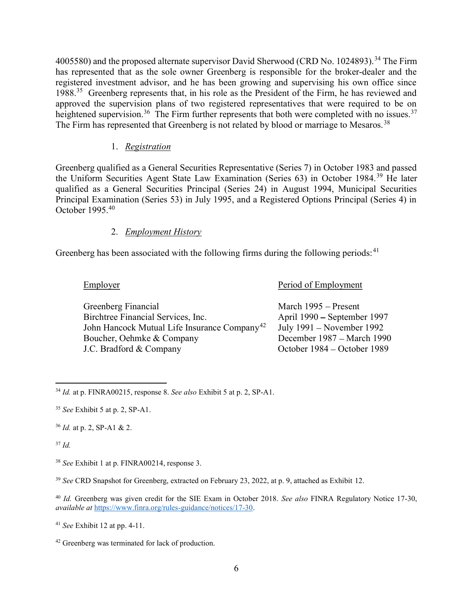4005580) and the proposed alternate supervisor David Sherwood (CRD No. 1024893).<sup>34</sup> The Firm has represented that as the sole owner Greenberg is responsible for the broker-dealer and the registered investment advisor, and he has been growing and supervising his own office since 1988.<sup>35</sup> Greenberg represents that, in his role as the President of the Firm, he has reviewed and approved the supervision plans of two registered representatives that were required to be on heightened supervision.<sup>36</sup> The Firm further represents that both were completed with no issues.<sup>37</sup> The Firm has represented that Greenberg is not related by blood or marriage to Mesaros.<sup>38</sup>

# 1. Registration

Greenberg qualified as a General Securities Representative (Series 7) in October 1983 and passed the Uniform Securities Agent State Law Examination (Series 63) in October 1984.<sup>39</sup> He later qualified as a General Securities Principal (Series 24) in August 1994, Municipal Securities Principal Examination (Series 53) in July 1995, and a Registered Options Principal (Series 4) in October 1995.<sup>40</sup>

# 2. Employment History

Greenberg has been associated with the following firms during the following periods:  $41$ 

Employer Period of Employment

| Greenberg Financial                                      | March 1995 – Present        |
|----------------------------------------------------------|-----------------------------|
| Birchtree Financial Services, Inc.                       | April 1990 – September 1997 |
| John Hancock Mutual Life Insurance Company <sup>42</sup> | July 1991 – November 1992   |
| Boucher, Oehmke & Company                                | December 1987 – March 1990  |
| J.C. Bradford & Company                                  | October 1984 – October 1989 |

 $\overline{a}$  $34$  *Id.* at p. FINRA00215, response 8. See also Exhibit 5 at p. 2, SP-A1.

 $37$  Id.

 $35$  See Exhibit 5 at p. 2, SP-A1.

 $36$  *Id.* at p. 2, SP-A1 & 2.

<sup>38</sup> See Exhibit 1 at p. FINRA00214, response 3.

<sup>&</sup>lt;sup>39</sup> See CRD Snapshot for Greenberg, extracted on February 23, 2022, at p. 9, attached as Exhibit 12.

<sup>&</sup>lt;sup>40</sup> Id. Greenberg was given credit for the SIE Exam in October 2018. See also FINRA Regulatory Notice 17-30, available at https://www.finra.org/rules-guidance/notices/17-30.

 $41$  See Exhibit 12 at pp. 4-11.

<sup>42</sup> Greenberg was terminated for lack of production.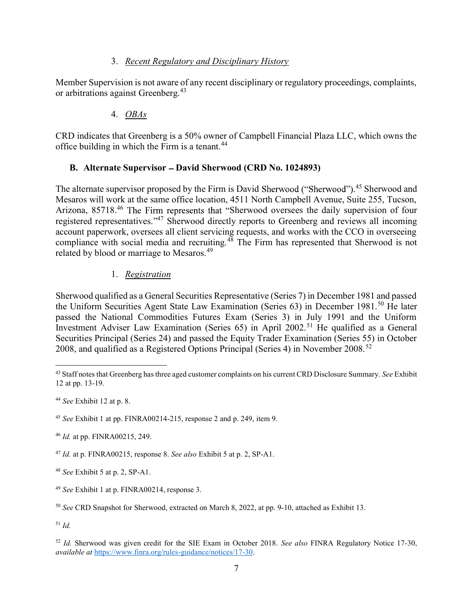### 3. Recent Regulatory and Disciplinary History

Member Supervision is not aware of any recent disciplinary or regulatory proceedings, complaints, or arbitrations against Greenberg.<sup>43</sup>

## 4. OBAs

CRD indicates that Greenberg is a 50% owner of Campbell Financial Plaza LLC, which owns the office building in which the Firm is a tenant.<sup>44</sup>

# B. Alternate Supervisor - David Sherwood (CRD No. 1024893)

The alternate supervisor proposed by the Firm is David Sherwood ("Sherwood").<sup>45</sup> Sherwood and Mesaros will work at the same office location, 4511 North Campbell Avenue, Suite 255, Tucson, Arizona, 85718.<sup>46</sup> The Firm represents that "Sherwood oversees the daily supervision of four registered representatives."<sup>47</sup> Sherwood directly reports to Greenberg and reviews all incoming account paperwork, oversees all client servicing requests, and works with the CCO in overseeing compliance with social media and recruiting.<sup>48</sup> The Firm has represented that Sherwood is not related by blood or marriage to Mesaros.<sup>49</sup>

## 1. Registration

Sherwood qualified as a General Securities Representative (Series 7) in December 1981 and passed the Uniform Securities Agent State Law Examination (Series 63) in December 1981.<sup>50</sup> He later passed the National Commodities Futures Exam (Series 3) in July 1991 and the Uniform Investment Adviser Law Examination (Series 65) in April 2002.<sup>51</sup> He qualified as a General Securities Principal (Series 24) and passed the Equity Trader Examination (Series 55) in October 2008, and qualified as a Registered Options Principal (Series 4) in November 2008.<sup>52</sup>

 $51$  Id.

<sup>&</sup>lt;sup>43</sup> Staff notes that Greenberg has three aged customer complaints on his current CRD Disclosure Summary. See Exhibit 12 at pp. 13-19.

 $44$  See Exhibit 12 at p. 8.

<sup>45</sup> See Exhibit 1 at pp. FINRA00214-215, response 2 and p. 249, item 9.

<sup>46</sup> Id. at pp. FINRA00215, 249.

<sup>&</sup>lt;sup>47</sup> Id. at p. FINRA00215, response 8. See also Exhibit 5 at p. 2, SP-A1.

<sup>48</sup> See Exhibit 5 at p. 2, SP-A1.

<sup>49</sup> See Exhibit 1 at p. FINRA00214, response 3.

<sup>50</sup> See CRD Snapshot for Sherwood, extracted on March 8, 2022, at pp. 9-10, attached as Exhibit 13.

<sup>&</sup>lt;sup>52</sup> Id. Sherwood was given credit for the SIE Exam in October 2018. See also FINRA Regulatory Notice 17-30, available at https://www.finra.org/rules-guidance/notices/17-30.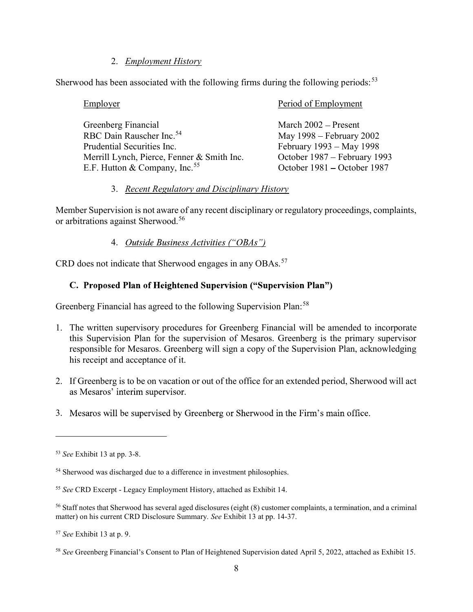### 2. Employment History

Sherwood has been associated with the following firms during the following periods:  $53$ 

| Employer                                   | Period of Employment         |
|--------------------------------------------|------------------------------|
| Greenberg Financial                        | March 2002 – Present         |
| RBC Dain Rauscher Inc. <sup>54</sup>       | May 1998 – February 2002     |
| Prudential Securities Inc.                 | February 1993 – May 1998     |
| Merrill Lynch, Pierce, Fenner & Smith Inc. | October 1987 – February 1993 |
| E.F. Hutton & Company, Inc. <sup>55</sup>  | October 1981 – October 1987  |

### 3. Recent Regulatory and Disciplinary History

Member Supervision is not aware of any recent disciplinary or regulatory proceedings, complaints, or arbitrations against Sherwood.<sup>56</sup>

### 4. Outside Business Activities ("OBAs")

CRD does not indicate that Sherwood engages in any OBAs.<sup>57</sup>

## C. Proposed Plan of Heightened Supervision ("Supervision Plan")

Greenberg Financial has agreed to the following Supervision Plan:<sup>58</sup>

- 1. The written supervisory procedures for Greenberg Financial will be amended to incorporate this Supervision Plan for the supervision of Mesaros. Greenberg is the primary supervisor responsible for Mesaros. Greenberg will sign a copy of the Supervision Plan, acknowledging his receipt and acceptance of it.
- 2. If Greenberg is to be on vacation or out of the office for an extended period, Sherwood will act as Mesaros' interim supervisor.
- 3. Mesaros will be supervised by Greenberg or Sherwood in the Firm's main office.

<sup>53</sup> See Exhibit 13 at pp. 3-8.

<sup>&</sup>lt;sup>54</sup> Sherwood was discharged due to a difference in investment philosophies.

<sup>55</sup> See CRD Excerpt - Legacy Employment History, attached as Exhibit 14.

<sup>56</sup> Staff notes that Sherwood has several aged disclosures (eight (8) customer complaints, a termination, and a criminal matter) on his current CRD Disclosure Summary. See Exhibit 13 at pp. 14-37.

<sup>57</sup> See Exhibit 13 at p. 9.

<sup>&</sup>lt;sup>58</sup> See Greenberg Financial's Consent to Plan of Heightened Supervision dated April 5, 2022, attached as Exhibit 15.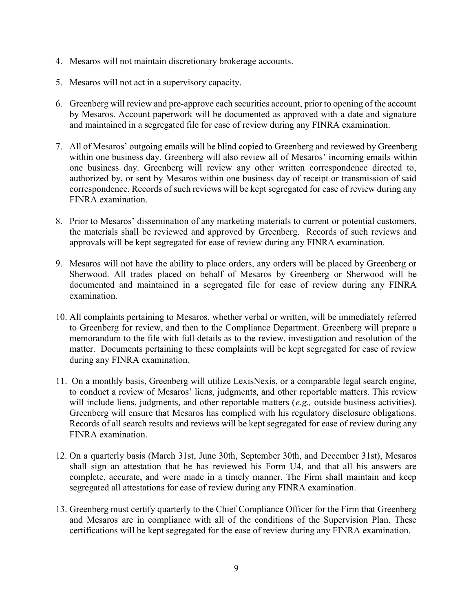- 4. Mesaros will not maintain discretionary brokerage accounts.
- 5. Mesaros will not act in a supervisory capacity.
- 6. Greenberg will review and pre-approve each securities account, prior to opening of the account by Mesaros. Account paperwork will be documented as approved with a date and signature and maintained in a segregated file for ease of review during any FINRA examination.
- 7. All of Mesaros' outgoing emails will be blind copied to Greenberg and reviewed by Greenberg within one business day. Greenberg will also review all of Mesaros' incoming emails within one business day. Greenberg will review any other written correspondence directed to, authorized by, or sent by Mesaros within one business day of receipt or transmission of said correspondence. Records of such reviews will be kept segregated for ease of review during any FINRA examination.
- 8. Prior to Mesaros' dissemination of any marketing materials to current or potential customers, the materials shall be reviewed and approved by Greenberg. Records of such reviews and approvals will be kept segregated for ease of review during any FINRA examination.
- 9. Mesaros will not have the ability to place orders, any orders will be placed by Greenberg or Sherwood. All trades placed on behalf of Mesaros by Greenberg or Sherwood will be documented and maintained in a segregated file for ease of review during any FINRA examination.
- 10. All complaints pertaining to Mesaros, whether verbal or written, will be immediately referred to Greenberg for review, and then to the Compliance Department. Greenberg will prepare a memorandum to the file with full details as to the review, investigation and resolution of the matter. Documents pertaining to these complaints will be kept segregated for ease of review during any FINRA examination.
- 11. On a monthly basis, Greenberg will utilize LexisNexis, or a comparable legal search engine, to conduct a review of Mesaros' liens, judgments, and other reportable matters. This review will include liens, judgments, and other reportable matters  $(e.g.,\)$  outside business activities). Greenberg will ensure that Mesaros has complied with his regulatory disclosure obligations. Records of all search results and reviews will be kept segregated for ease of review during any FINRA examination.
- 12. On a quarterly basis (March 31st, June 30th, September 30th, and December 31st), Mesaros shall sign an attestation that he has reviewed his Form U4, and that all his answers are complete, accurate, and were made in a timely manner. The Firm shall maintain and keep segregated all attestations for ease of review during any FINRA examination.
- 13. Greenberg must certify quarterly to the Chief Compliance Officer for the Firm that Greenberg and Mesaros are in compliance with all of the conditions of the Supervision Plan. These certifications will be kept segregated for the ease of review during any FINRA examination.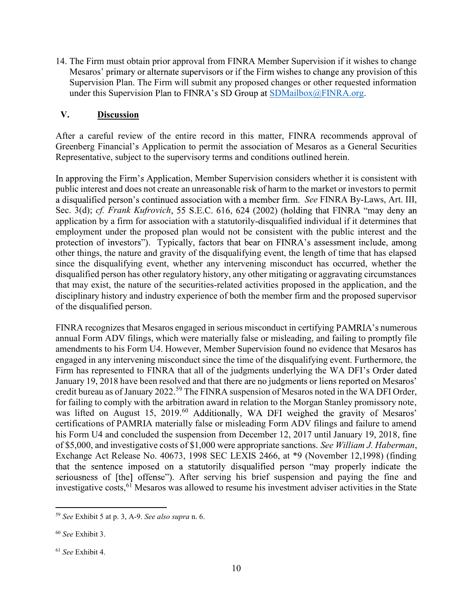14. The Firm must obtain prior approval from FINRA Member Supervision if it wishes to change Mesaros' primary or alternate supervisors or if the Firm wishes to change any provision of this Supervision Plan. The Firm will submit any proposed changes or other requested information under this Supervision Plan to FINRA's SD Group at  $SDMailbox@FINRA.org$ .

## V. Discussion

After a careful review of the entire record in this matter, FINRA recommends approval of Greenberg Financial's Application to permit the association of Mesaros as a General Securities Representative, subject to the supervisory terms and conditions outlined herein.

In approving the Firm's Application, Member Supervision considers whether it is consistent with public interest and does not create an unreasonable risk of harm to the market or investors to permit a disqualified person's continued association with a member firm. See FINRA By-Laws, Art. III, Sec. 3(d); cf. Frank Kufrovich, 55 S.E.C. 616, 624 (2002) (holding that FINRA "may deny an application by a firm for association with a statutorily-disqualified individual if it determines that employment under the proposed plan would not be consistent with the public interest and the protection of investors"). Typically, factors that bear on FINRA's assessment include, among other things, the nature and gravity of the disqualifying event, the length of time that has elapsed since the disqualifying event, whether any intervening misconduct has occurred, whether the disqualified person has other regulatory history, any other mitigating or aggravating circumstances that may exist, the nature of the securities-related activities proposed in the application, and the disciplinary history and industry experience of both the member firm and the proposed supervisor of the disqualified person.

FINRA recognizes that Mesaros engaged in serious misconduct in certifying PAMRIA's numerous annual Form ADV filings, which were materially false or misleading, and failing to promptly file amendments to his Form U4. However, Member Supervision found no evidence that Mesaros has engaged in any intervening misconduct since the time of the disqualifying event. Furthermore, the Firm has represented to FINRA that all of the judgments underlying the WA DFI's Order dated January 19, 2018 have been resolved and that there are no judgments or liens reported on Mesaros' credit bureau as of January 2022.<sup>59</sup> The FINRA suspension of Mesaros noted in the WA DFI Order, for failing to comply with the arbitration award in relation to the Morgan Stanley promissory note, was lifted on August 15, 2019.<sup>60</sup> Additionally, WA DFI weighed the gravity of Mesaros' certifications of PAMRIA materially false or misleading Form ADV filings and failure to amend his Form U4 and concluded the suspension from December 12, 2017 until January 19, 2018, fine of \$5,000, and investigative costs of \$1,000 were appropriate sanctions. See William J. Haberman, Exchange Act Release No. 40673, 1998 SEC LEXIS 2466, at \*9 (November 12,1998) (finding that the sentence imposed on a statutorily disqualified person "may properly indicate the seriousness of [the] offense"). After serving his brief suspension and paying the fine and investigative costs,<sup>61</sup> Mesaros was allowed to resume his investment adviser activities in the State

 $\overline{a}$  $59$  See Exhibit 5 at p. 3, A-9. See also supra n. 6.

<sup>60</sup> See Exhibit 3.

<sup>61</sup> See Exhibit 4.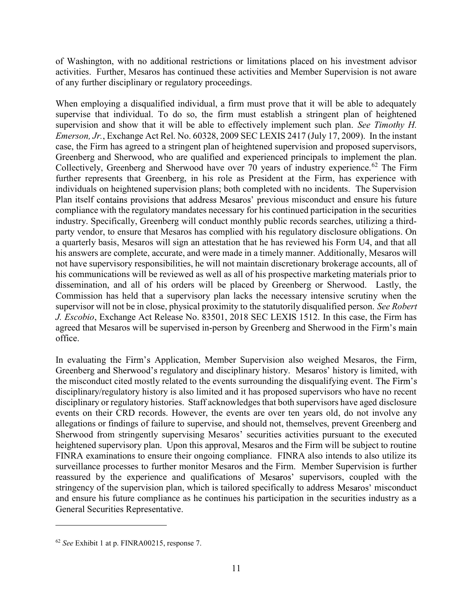of Washington, with no additional restrictions or limitations placed on his investment advisor activities. Further, Mesaros has continued these activities and Member Supervision is not aware of any further disciplinary or regulatory proceedings.

When employing a disqualified individual, a firm must prove that it will be able to adequately supervise that individual. To do so, the firm must establish a stringent plan of heightened supervision and show that it will be able to effectively implement such plan. See Timothy H. Emerson, Jr., Exchange Act Rel. No. 60328, 2009 SEC LEXIS 2417 (July 17, 2009). In the instant case, the Firm has agreed to a stringent plan of heightened supervision and proposed supervisors, Greenberg and Sherwood, who are qualified and experienced principals to implement the plan. Collectively, Greenberg and Sherwood have over 70 years of industry experience.<sup>62</sup> The Firm further represents that Greenberg, in his role as President at the Firm, has experience with individuals on heightened supervision plans; both completed with no incidents. The Supervision Plan itself contains provisions that address Mesaros' previous misconduct and ensure his future compliance with the regulatory mandates necessary for his continued participation in the securities industry. Specifically, Greenberg will conduct monthly public records searches, utilizing a thirdparty vendor, to ensure that Mesaros has complied with his regulatory disclosure obligations. On a quarterly basis, Mesaros will sign an attestation that he has reviewed his Form U4, and that all his answers are complete, accurate, and were made in a timely manner. Additionally, Mesaros will not have supervisory responsibilities, he will not maintain discretionary brokerage accounts, all of his communications will be reviewed as well as all of his prospective marketing materials prior to dissemination, and all of his orders will be placed by Greenberg or Sherwood. Lastly, the Commission has held that a supervisory plan lacks the necessary intensive scrutiny when the supervisor will not be in close, physical proximity to the statutorily disqualified person. See Robert J. Escobio, Exchange Act Release No. 83501, 2018 SEC LEXIS 1512. In this case, the Firm has agreed that Mesaros will be supervised in-person by Greenberg and Sherwood in the Firm's main office.

In evaluating the Firm's Application, Member Supervision also weighed Mesaros, the Firm, Greenberg and Sherwood's regulatory and disciplinary history. Mesaros' history is limited, with the misconduct cited mostly related to the events surrounding the disqualifying event. The Firm's disciplinary/regulatory history is also limited and it has proposed supervisors who have no recent disciplinary or regulatory histories. Staff acknowledges that both supervisors have aged disclosure events on their CRD records. However, the events are over ten years old, do not involve any allegations or findings of failure to supervise, and should not, themselves, prevent Greenberg and Sherwood from stringently supervising Mesaros' securities activities pursuant to the executed heightened supervisory plan. Upon this approval, Mesaros and the Firm will be subject to routine FINRA examinations to ensure their ongoing compliance. FINRA also intends to also utilize its surveillance processes to further monitor Mesaros and the Firm. Member Supervision is further reassured by the experience and qualifications of Mesaros' supervisors, coupled with the stringency of the supervision plan, which is tailored specifically to address Mesaros' misconduct and ensure his future compliance as he continues his participation in the securities industry as a General Securities Representative.

<sup>62</sup> See Exhibit 1 at p. FINRA00215, response 7.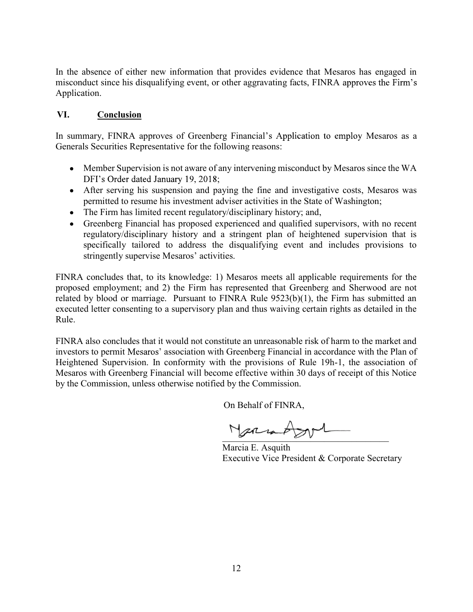In the absence of either new information that provides evidence that Mesaros has engaged in misconduct since his disqualifying event, or other aggravating facts, FINRA approves the Firm's Application.

# VI. Conclusion

In summary, FINRA approves of Greenberg Financial's Application to employ Mesaros as a Generals Securities Representative for the following reasons:

- Member Supervision is not aware of any intervening misconduct by Mesaros since the WA DFI's Order dated January 19, 2018;
- After serving his suspension and paying the fine and investigative costs, Mesaros was permitted to resume his investment adviser activities in the State of Washington;
- The Firm has limited recent regulatory/disciplinary history; and,
- Greenberg Financial has proposed experienced and qualified supervisors, with no recent regulatory/disciplinary history and a stringent plan of heightened supervision that is specifically tailored to address the disqualifying event and includes provisions to stringently supervise Mesaros' activities.

FINRA concludes that, to its knowledge: 1) Mesaros meets all applicable requirements for the proposed employment; and 2) the Firm has represented that Greenberg and Sherwood are not related by blood or marriage. Pursuant to FINRA Rule 9523(b)(1), the Firm has submitted an executed letter consenting to a supervisory plan and thus waiving certain rights as detailed in the Rule.

FINRA also concludes that it would not constitute an unreasonable risk of harm to the market and investors to permit Mesaros' association with Greenberg Financial in accordance with the Plan of Heightened Supervision. In conformity with the provisions of Rule 19h-1, the association of Mesaros with Greenberg Financial will become effective within 30 days of receipt of this Notice by the Commission, unless otherwise notified by the Commission.

On Behalf of FINRA,

 $N$ armo

Marcia E. Asquith Executive Vice President & Corporate Secretary